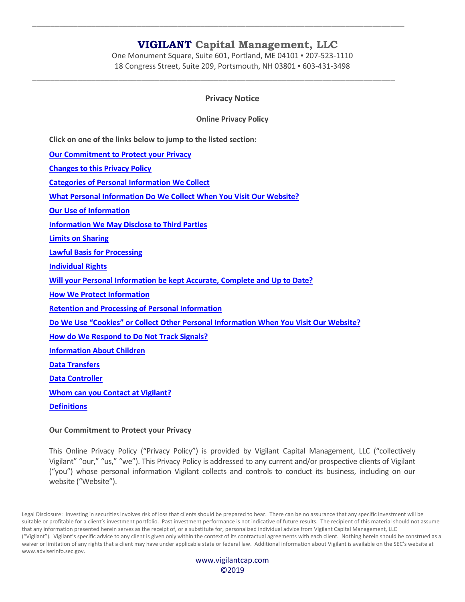One Monument Square, Suite 601, Portland, ME 04101 ▪ 207-523-1110 18 Congress Street, Suite 209, Portsmouth, NH 03801 ▪ 603-431-3498

\_\_\_\_\_\_\_\_\_\_\_\_\_\_\_\_\_\_\_\_\_\_\_\_\_\_\_\_\_\_\_\_\_\_\_\_\_\_\_\_\_\_\_\_\_\_\_\_\_\_\_\_\_\_\_\_\_\_\_\_\_\_\_\_\_\_\_\_\_\_\_\_\_\_\_\_\_\_\_\_\_\_

\_\_\_\_\_\_\_\_\_\_\_\_\_\_\_\_\_\_\_\_\_\_\_\_\_\_\_\_\_\_\_\_\_\_\_\_\_\_\_\_\_\_\_\_\_\_\_\_\_\_\_\_\_\_\_\_\_\_\_\_\_\_\_\_\_\_\_\_\_\_\_\_\_\_\_\_\_\_\_\_

## **Privacy Notice**

**Online Privacy Policy**

**Click on one of the links below to jump to the listed section:**

**[Our Commitment to Protect your Privacy](#page-0-0)**

**[Changes to this Privacy Policy](#page-1-0)**

**[Categories of Personal Information We Collect](#page-1-1)**

**[What Personal Information Do We Collect When You Visit Our Website?](#page-1-2)**

**[Our Use of Information](#page-2-0)**

**[Information We May Disclose to Third Parties](#page-2-1)**

**[Limits on Sharing](#page-3-0)**

**[Lawful Basis for Processing](#page-4-0)**

**[Individual Rights](#page-4-1)**

**[Will your Personal Information be kept Accurate, Complete and Up to Date?](#page-5-0)**

**[How We Protect Information](#page-5-1)**

**[Retention and Processing of Personal Information](#page-5-2)**

**[Do We Use "Cookies" or Collect Other Personal Information When You Visit Our Website?](#page-5-3)**

**[How do We Respond to Do Not Track Signals?](#page-5-4)**

**[Information About Children](#page-6-0)**

**[Data Transfers](#page-6-1)**

**[Data Controller](#page-6-2)**

**[Whom can you Contact at Vigilant?](#page-6-3)**

**[Definitions](#page-7-0)**

## <span id="page-0-0"></span>**Our Commitment to Protect your Privacy**

This Online Privacy Policy ("Privacy Policy") is provided by Vigilant Capital Management, LLC ("collectively Vigilant" "our," "us," "we"). This Privacy Policy is addressed to any current and/or prospective clients of Vigilant ("you") whose personal information Vigilant collects and controls to conduct its business, including on our website ("Website").

Legal Disclosure: Investing in securities involves risk of loss that clients should be prepared to bear. There can be no assurance that any specific investment will be suitable or profitable for a client's investment portfolio. Past investment performance is not indicative of future results. The recipient of this material should not assume that any information presented herein serves as the receipt of, or a substitute for, personalized individual advice from Vigilant Capital Management, LLC ("Vigilant"). Vigilant's specific advice to any client is given only within the context of its contractual agreements with each client. Nothing herein should be construed as a waiver or limitation of any rights that a client may have under applicable state or federal law. Additional information about Vigilant is available on the SEC's website at www.adviserinfo.sec.gov.

> www.vigilantcap.com ©2019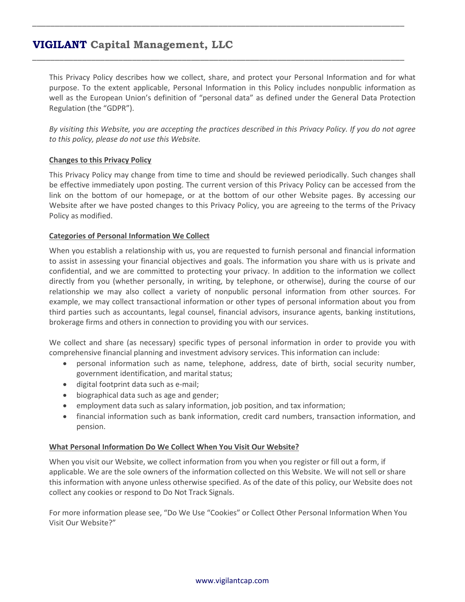This Privacy Policy describes how we collect, share, and protect your Personal Information and for what purpose. To the extent applicable, Personal Information in this Policy includes nonpublic information as well as the European Union's definition of "personal data" as defined under the General Data Protection Regulation (the "GDPR").

\_\_\_\_\_\_\_\_\_\_\_\_\_\_\_\_\_\_\_\_\_\_\_\_\_\_\_\_\_\_\_\_\_\_\_\_\_\_\_\_\_\_\_\_\_\_\_\_\_\_\_\_\_\_\_\_\_\_\_\_\_\_\_\_\_\_\_\_\_\_\_\_\_\_\_\_\_\_\_\_\_\_

\_\_\_\_\_\_\_\_\_\_\_\_\_\_\_\_\_\_\_\_\_\_\_\_\_\_\_\_\_\_\_\_\_\_\_\_\_\_\_\_\_\_\_\_\_\_\_\_\_\_\_\_\_\_\_\_\_\_\_\_\_\_\_\_\_\_\_\_\_\_\_\_\_\_\_\_\_\_\_\_\_\_

*By visiting this Website, you are accepting the practices described in this Privacy Policy. If you do not agree to this policy, please do not use this Website.*

## <span id="page-1-0"></span>**Changes to this Privacy Policy**

This Privacy Policy may change from time to time and should be reviewed periodically. Such changes shall be effective immediately upon posting. The current version of this Privacy Policy can be accessed from the link on the bottom of our homepage, or at the bottom of our other Website pages. By accessing our Website after we have posted changes to this Privacy Policy, you are agreeing to the terms of the Privacy Policy as modified.

## <span id="page-1-1"></span>**Categories of Personal Information We Collect**

When you establish a relationship with us, you are requested to furnish personal and financial information to assist in assessing your financial objectives and goals. The information you share with us is private and confidential, and we are committed to protecting your privacy. In addition to the information we collect directly from you (whether personally, in writing, by telephone, or otherwise), during the course of our relationship we may also collect a variety of nonpublic personal information from other sources. For example, we may collect transactional information or other types of personal information about you from third parties such as accountants, legal counsel, financial advisors, insurance agents, banking institutions, brokerage firms and others in connection to providing you with our services.

We collect and share (as necessary) specific types of personal information in order to provide you with comprehensive financial planning and investment advisory services. This information can include:

- personal information such as name, telephone, address, date of birth, social security number, government identification, and marital status;
- digital footprint data such as e-mail;
- biographical data such as age and gender;
- employment data such as salary information, job position, and tax information;
- financial information such as bank information, credit card numbers, transaction information, and pension.

### <span id="page-1-2"></span>**What Personal Information Do We Collect When You Visit Our Website?**

When you visit our Website, we collect information from you when you register or fill out a form, if applicable. We are the sole owners of the information collected on this Website. We will not sell or share this information with anyone unless otherwise specified. As of the date of this policy, our Website does not collect any cookies or respond to Do Not Track Signals.

For more information please see, "Do We Use "Cookies" or Collect Other Personal Information When You Visit Our Website?"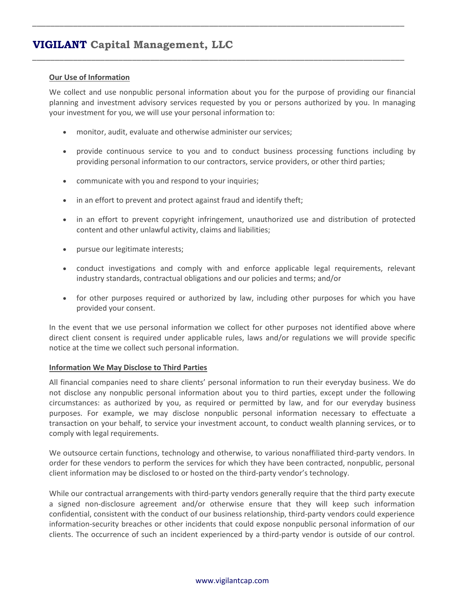### <span id="page-2-0"></span>**Our Use of Information**

We collect and use nonpublic personal information about you for the purpose of providing our financial planning and investment advisory services requested by you or persons authorized by you. In managing your investment for you, we will use your personal information to:

\_\_\_\_\_\_\_\_\_\_\_\_\_\_\_\_\_\_\_\_\_\_\_\_\_\_\_\_\_\_\_\_\_\_\_\_\_\_\_\_\_\_\_\_\_\_\_\_\_\_\_\_\_\_\_\_\_\_\_\_\_\_\_\_\_\_\_\_\_\_\_\_\_\_\_\_\_\_\_\_\_\_

\_\_\_\_\_\_\_\_\_\_\_\_\_\_\_\_\_\_\_\_\_\_\_\_\_\_\_\_\_\_\_\_\_\_\_\_\_\_\_\_\_\_\_\_\_\_\_\_\_\_\_\_\_\_\_\_\_\_\_\_\_\_\_\_\_\_\_\_\_\_\_\_\_\_\_\_\_\_\_\_\_\_

- monitor, audit, evaluate and otherwise administer our services;
- provide continuous service to you and to conduct business processing functions including by providing personal information to our contractors, service providers, or other third parties;
- communicate with you and respond to your inquiries;
- in an effort to prevent and protect against fraud and identify theft;
- in an effort to prevent copyright infringement, unauthorized use and distribution of protected content and other unlawful activity, claims and liabilities;
- pursue our legitimate interests;
- conduct investigations and comply with and enforce applicable legal requirements, relevant industry standards, contractual obligations and our policies and terms; and/or
- for other purposes required or authorized by law, including other purposes for which you have provided your consent.

In the event that we use personal information we collect for other purposes not identified above where direct client consent is required under applicable rules, laws and/or regulations we will provide specific notice at the time we collect such personal information.

### <span id="page-2-1"></span>**Information We May Disclose to Third Parties**

All financial companies need to share clients' personal information to run their everyday business. We do not disclose any nonpublic personal information about you to third parties, except under the following circumstances: as authorized by you, as required or permitted by law, and for our everyday business purposes. For example, we may disclose nonpublic personal information necessary to effectuate a transaction on your behalf, to service your investment account, to conduct wealth planning services, or to comply with legal requirements.

We outsource certain functions, technology and otherwise, to various nonaffiliated third-party vendors. In order for these vendors to perform the services for which they have been contracted, nonpublic, personal client information may be disclosed to or hosted on the third-party vendor's technology.

While our contractual arrangements with third-party vendors generally require that the third party execute a signed non-disclosure agreement and/or otherwise ensure that they will keep such information confidential, consistent with the conduct of our business relationship, third-party vendors could experience information-security breaches or other incidents that could expose nonpublic personal information of our clients. The occurrence of such an incident experienced by a third-party vendor is outside of our control.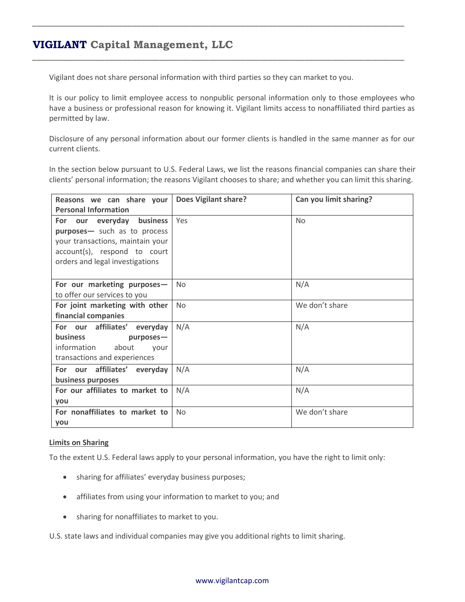Vigilant does not share personal information with third parties so they can market to you.

\_\_\_\_\_\_\_\_\_\_\_\_\_\_\_\_\_\_\_\_\_\_\_\_\_\_\_\_\_\_\_\_\_\_\_\_\_\_\_\_\_\_\_\_\_\_\_\_\_\_\_\_\_\_\_\_\_\_\_\_\_\_\_\_\_\_\_\_\_\_\_\_\_\_\_\_\_\_\_\_\_\_

\_\_\_\_\_\_\_\_\_\_\_\_\_\_\_\_\_\_\_\_\_\_\_\_\_\_\_\_\_\_\_\_\_\_\_\_\_\_\_\_\_\_\_\_\_\_\_\_\_\_\_\_\_\_\_\_\_\_\_\_\_\_\_\_\_\_\_\_\_\_\_\_\_\_\_\_\_\_\_\_\_\_

It is our policy to limit employee access to nonpublic personal information only to those employees who have a business or professional reason for knowing it. Vigilant limits access to nonaffiliated third parties as permitted by law.

Disclosure of any personal information about our former clients is handled in the same manner as for our current clients.

In the section below pursuant to U.S. Federal Laws, we list the reasons financial companies can share their clients' personal information; the reasons Vigilant chooses to share; and whether you can limit this sharing.

| Reasons we can share your<br><b>Personal Information</b>                                                                                                            | <b>Does Vigilant share?</b> | Can you limit sharing? |
|---------------------------------------------------------------------------------------------------------------------------------------------------------------------|-----------------------------|------------------------|
| our everyday business<br>For<br>purposes- such as to process<br>your transactions, maintain your<br>account(s), respond to court<br>orders and legal investigations | Yes                         | <b>No</b>              |
| For our marketing purposes-<br>to offer our services to you                                                                                                         | <b>No</b>                   | N/A                    |
| For joint marketing with other<br>financial companies                                                                                                               | <b>No</b>                   | We don't share         |
| For our affiliates' everyday<br><b>business</b><br>purposes-<br>information<br>about<br>vour<br>transactions and experiences                                        | N/A                         | N/A                    |
| For our affiliates' everyday<br>business purposes                                                                                                                   | N/A                         | N/A                    |
| For our affiliates to market to<br>you                                                                                                                              | N/A                         | N/A                    |
| For nonaffiliates to market to<br>you                                                                                                                               | <b>No</b>                   | We don't share         |

### <span id="page-3-0"></span>**Limits on Sharing**

To the extent U.S. Federal laws apply to your personal information, you have the right to limit only:

- sharing for affiliates' everyday business purposes;
- affiliates from using your information to market to you; and
- sharing for nonaffiliates to market to you.

U.S. state laws and individual companies may give you additional rights to limit sharing.

### www.vigilantcap.com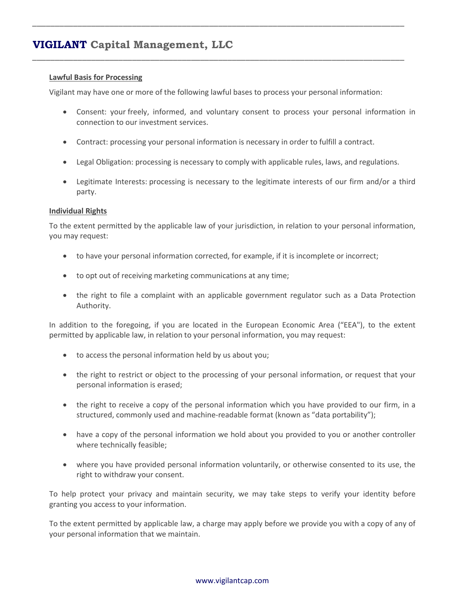### <span id="page-4-0"></span>**Lawful Basis for Processing**

Vigilant may have one or more of the following lawful bases to process your personal information:

\_\_\_\_\_\_\_\_\_\_\_\_\_\_\_\_\_\_\_\_\_\_\_\_\_\_\_\_\_\_\_\_\_\_\_\_\_\_\_\_\_\_\_\_\_\_\_\_\_\_\_\_\_\_\_\_\_\_\_\_\_\_\_\_\_\_\_\_\_\_\_\_\_\_\_\_\_\_\_\_\_\_

\_\_\_\_\_\_\_\_\_\_\_\_\_\_\_\_\_\_\_\_\_\_\_\_\_\_\_\_\_\_\_\_\_\_\_\_\_\_\_\_\_\_\_\_\_\_\_\_\_\_\_\_\_\_\_\_\_\_\_\_\_\_\_\_\_\_\_\_\_\_\_\_\_\_\_\_\_\_\_\_\_\_

- Consent: your freely, informed, and voluntary consent to process your personal information in connection to our investment services.
- Contract: processing your personal information is necessary in order to fulfill a contract.
- Legal Obligation: processing is necessary to comply with applicable rules, laws, and regulations.
- Legitimate Interests: processing is necessary to the legitimate interests of our firm and/or a third party.

### <span id="page-4-1"></span>**Individual Rights**

To the extent permitted by the applicable law of your jurisdiction, in relation to your personal information, you may request:

- to have your personal information corrected, for example, if it is incomplete or incorrect;
- to opt out of receiving marketing communications at any time;
- the right to file a complaint with an applicable government regulator such as a Data Protection Authority.

In addition to the foregoing, if you are located in the European Economic Area ("EEA"), to the extent permitted by applicable law, in relation to your personal information, you may request:

- to access the personal information held by us about you;
- the right to restrict or object to the processing of your personal information, or request that your personal information is erased;
- the right to receive a copy of the personal information which you have provided to our firm, in a structured, commonly used and machine-readable format (known as "data portability");
- have a copy of the personal information we hold about you provided to you or another controller where technically feasible;
- where you have provided personal information voluntarily, or otherwise consented to its use, the right to withdraw your consent.

To help protect your privacy and maintain security, we may take steps to verify your identity before granting you access to your information.

To the extent permitted by applicable law, a charge may apply before we provide you with a copy of any of your personal information that we maintain.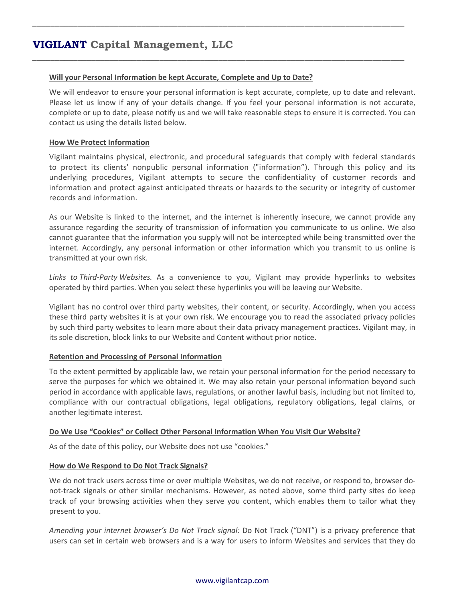### <span id="page-5-0"></span>**Will your Personal Information be kept Accurate, Complete and Up to Date?**

We will endeavor to ensure your personal information is kept accurate, complete, up to date and relevant. Please let us know if any of your details change. If you feel your personal information is not accurate, complete or up to date, please notify us and we will take reasonable steps to ensure it is corrected. You can contact us using the details listed below.

\_\_\_\_\_\_\_\_\_\_\_\_\_\_\_\_\_\_\_\_\_\_\_\_\_\_\_\_\_\_\_\_\_\_\_\_\_\_\_\_\_\_\_\_\_\_\_\_\_\_\_\_\_\_\_\_\_\_\_\_\_\_\_\_\_\_\_\_\_\_\_\_\_\_\_\_\_\_\_\_\_\_

\_\_\_\_\_\_\_\_\_\_\_\_\_\_\_\_\_\_\_\_\_\_\_\_\_\_\_\_\_\_\_\_\_\_\_\_\_\_\_\_\_\_\_\_\_\_\_\_\_\_\_\_\_\_\_\_\_\_\_\_\_\_\_\_\_\_\_\_\_\_\_\_\_\_\_\_\_\_\_\_\_\_

### <span id="page-5-1"></span>**How We Protect Information**

Vigilant maintains physical, electronic, and procedural safeguards that comply with federal standards to protect its clients' nonpublic personal information ("information"). Through this policy and its underlying procedures, Vigilant attempts to secure the confidentiality of customer records and information and protect against anticipated threats or hazards to the security or integrity of customer records and information.

As our Website is linked to the internet, and the internet is inherently insecure, we cannot provide any assurance regarding the security of transmission of information you communicate to us online. We also cannot guarantee that the information you supply will not be intercepted while being transmitted over the internet. Accordingly, any personal information or other information which you transmit to us online is transmitted at your own risk.

*Links to Third-Party Websites.* As a convenience to you, Vigilant may provide hyperlinks to websites operated by third parties. When you select these hyperlinks you will be leaving our Website.

Vigilant has no control over third party websites, their content, or security. Accordingly, when you access these third party websites it is at your own risk. We encourage you to read the associated privacy policies by such third party websites to learn more about their data privacy management practices. Vigilant may, in its sole discretion, block links to our Website and Content without prior notice.

### <span id="page-5-2"></span>**Retention and Processing of Personal Information**

To the extent permitted by applicable law, we retain your personal information for the period necessary to serve the purposes for which we obtained it. We may also retain your personal information beyond such period in accordance with applicable laws, regulations, or another lawful basis, including but not limited to, compliance with our contractual obligations, legal obligations, regulatory obligations, legal claims, or another legitimate interest.

### <span id="page-5-3"></span>**Do We Use "Cookies" or Collect Other Personal Information When You Visit Our Website?**

As of the date of this policy, our Website does not use "cookies."

## <span id="page-5-4"></span>**How do We Respond to Do Not Track Signals?**

We do not track users across time or over multiple Websites, we do not receive, or respond to, browser donot-track signals or other similar mechanisms. However, as noted above, some third party sites do keep track of your browsing activities when they serve you content, which enables them to tailor what they present to you.

*Amending your internet browser's Do Not Track signal:* Do Not Track ("DNT") is a privacy preference that users can set in certain web browsers and is a way for users to inform Websites and services that they do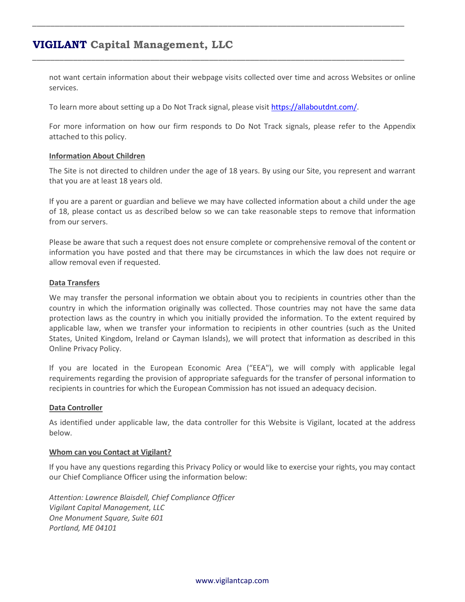not want certain information about their webpage visits collected over time and across Websites or online services.

To learn more about setting up a Do Not Track signal, please visit [https://allaboutdnt.com/.](https://allaboutdnt.com/)

\_\_\_\_\_\_\_\_\_\_\_\_\_\_\_\_\_\_\_\_\_\_\_\_\_\_\_\_\_\_\_\_\_\_\_\_\_\_\_\_\_\_\_\_\_\_\_\_\_\_\_\_\_\_\_\_\_\_\_\_\_\_\_\_\_\_\_\_\_\_\_\_\_\_\_\_\_\_\_\_\_\_

\_\_\_\_\_\_\_\_\_\_\_\_\_\_\_\_\_\_\_\_\_\_\_\_\_\_\_\_\_\_\_\_\_\_\_\_\_\_\_\_\_\_\_\_\_\_\_\_\_\_\_\_\_\_\_\_\_\_\_\_\_\_\_\_\_\_\_\_\_\_\_\_\_\_\_\_\_\_\_\_\_\_

For more information on how our firm responds to Do Not Track signals, please refer to the Appendix attached to this policy.

### <span id="page-6-0"></span>**Information About Children**

The Site is not directed to children under the age of 18 years. By using our Site, you represent and warrant that you are at least 18 years old.

If you are a parent or guardian and believe we may have collected information about a child under the age of 18, please contact us as described below so we can take reasonable steps to remove that information from our servers.

Please be aware that such a request does not ensure complete or comprehensive removal of the content or information you have posted and that there may be circumstances in which the law does not require or allow removal even if requested.

### <span id="page-6-1"></span>**Data Transfers**

We may transfer the personal information we obtain about you to recipients in countries other than the country in which the information originally was collected. Those countries may not have the same data protection laws as the country in which you initially provided the information. To the extent required by applicable law, when we transfer your information to recipients in other countries (such as the United States, United Kingdom, Ireland or Cayman Islands), we will protect that information as described in this Online Privacy Policy.

If you are located in the European Economic Area ("EEA"), we will comply with applicable legal requirements regarding the provision of appropriate safeguards for the transfer of personal information to recipients in countries for which the European Commission has not issued an adequacy decision.

## <span id="page-6-2"></span>**Data Controller**

As identified under applicable law, the data controller for this Website is Vigilant, located at the address below.

### <span id="page-6-3"></span>**Whom can you Contact at Vigilant?**

If you have any questions regarding this Privacy Policy or would like to exercise your rights, you may contact our Chief Compliance Officer using the information below:

*Attention: Lawrence Blaisdell, Chief Compliance Officer Vigilant Capital Management, LLC One Monument Square, Suite 601 Portland, ME 04101*